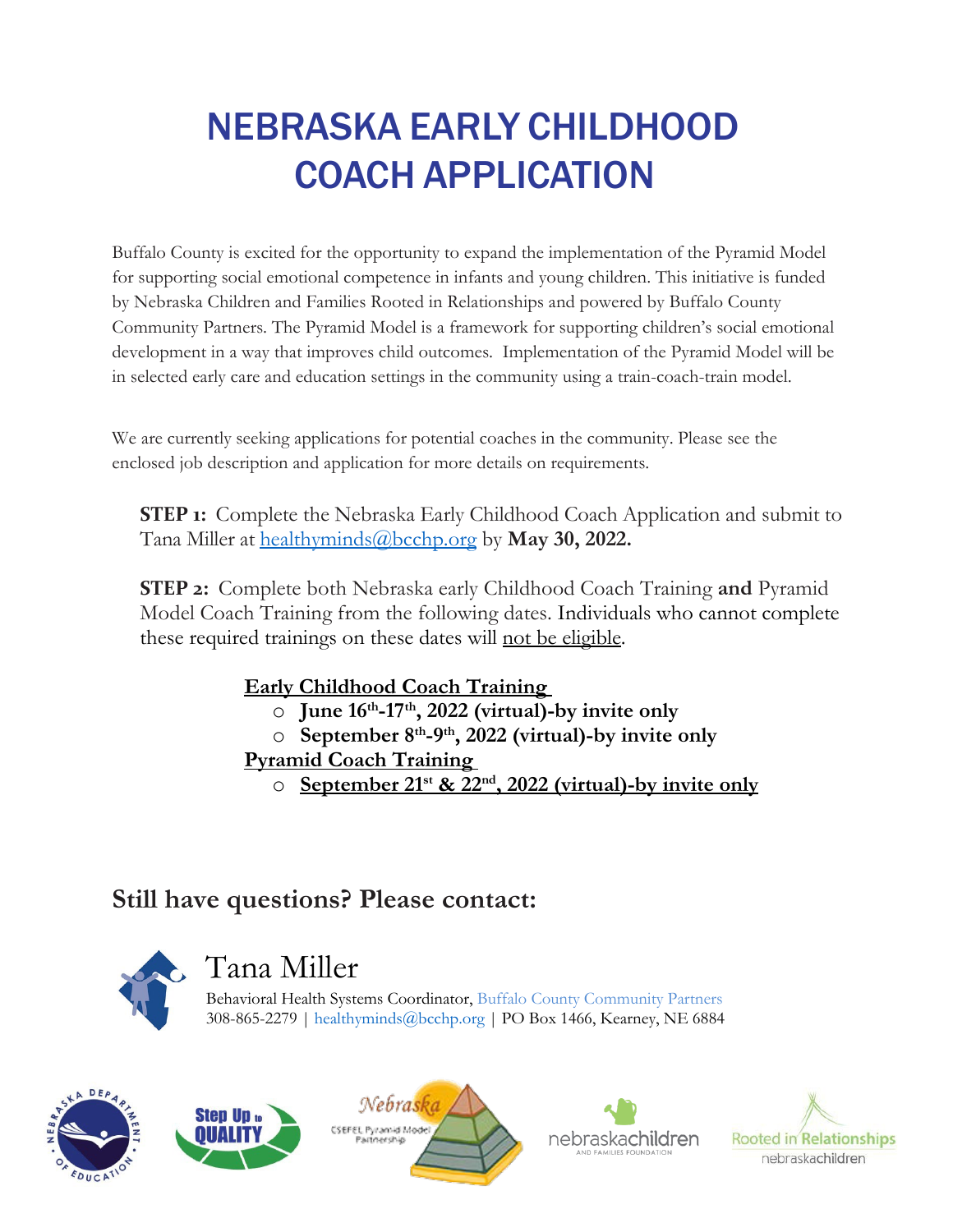# NEBRASKA EARLY CHILDHOOD COACH APPLICATION

Buffalo County is excited for the opportunity to expand the implementation of the Pyramid Model for supporting social emotional competence in infants and young children. This initiative is funded by Nebraska Children and Families Rooted in Relationships and powered by Buffalo County Community Partners. The Pyramid Model is a framework for supporting children's social emotional development in a way that improves child outcomes. Implementation of the Pyramid Model will be in selected early care and education settings in the community using a train-coach-train model.

We are currently seeking applications for potential coaches in the community. Please see the enclosed job description and application for more details on requirements.

**STEP 1:** Complete the Nebraska Early Childhood Coach Application and submit to Tana Miller at [healthyminds@bcchp.org](mailto:healthyminds@bcchp.org) by **May 30, 2022.** 

**STEP 2:** Complete both Nebraska early Childhood Coach Training **and** Pyramid Model Coach Training from the following dates. Individuals who cannot complete these required trainings on these dates will not be eligible.

### **Early Childhood Coach Training**

- o **June 16th-17th, 2022 (virtual)-by invite only**
- o **September 8th-9th, 2022 (virtual)-by invite only**

### **Pyramid Coach Training**

o **September 21st & 22nd, 2022 (virtual)-by invite only**

## **Still have questions? Please contact:**



# Tana Miller

Behavioral Health Systems Coordinator, [Buffalo County Community Partners](http://www.bcchp.org/) 308-865-2279 | [healthyminds@bcchp.org](mailto:healthyminds@bcchp.org) | PO Box 1466, Kearney, NE 6884









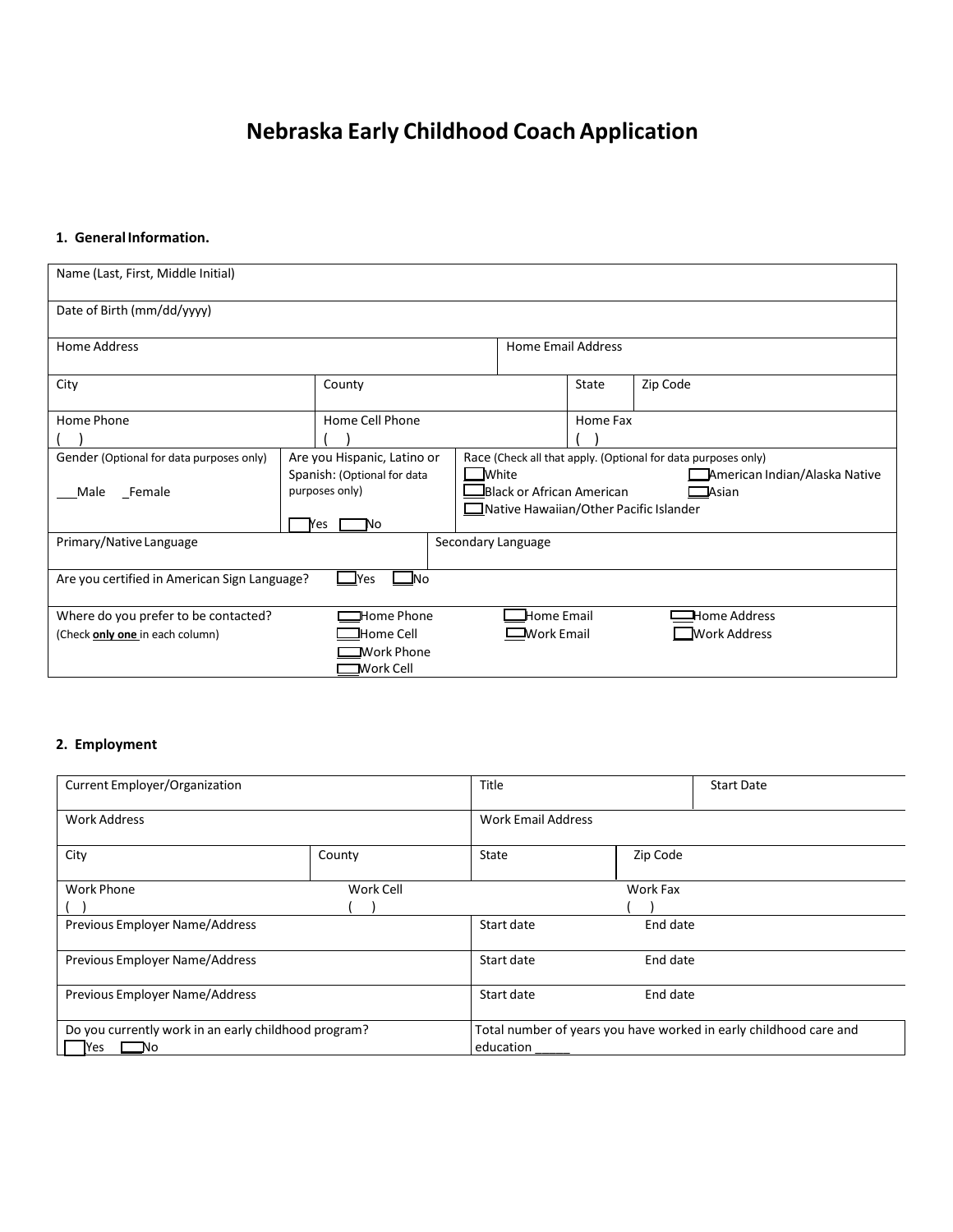### **Nebraska Early Childhood CoachApplication**

#### **1. GeneralInformation.**

| Name (Last, First, Middle Initial)                                         |                 |                             |                            |                                               |                                                               |          |  |
|----------------------------------------------------------------------------|-----------------|-----------------------------|----------------------------|-----------------------------------------------|---------------------------------------------------------------|----------|--|
| Date of Birth (mm/dd/yyyy)                                                 |                 |                             |                            |                                               |                                                               |          |  |
| Home Address                                                               |                 |                             | <b>Home Email Address</b>  |                                               |                                                               |          |  |
| City                                                                       |                 |                             | County                     |                                               | State                                                         | Zip Code |  |
| Home Phone                                                                 | Home Cell Phone |                             |                            | Home Fax                                      |                                                               |          |  |
|                                                                            |                 |                             |                            |                                               |                                                               |          |  |
| Gender (Optional for data purposes only)                                   |                 | Are you Hispanic, Latino or |                            |                                               | Race (Check all that apply. (Optional for data purposes only) |          |  |
|                                                                            |                 | Spanish: (Optional for data |                            | <b>White</b><br>American Indian/Alaska Native |                                                               |          |  |
| Male<br>Female                                                             | purposes only)  |                             |                            | Black or African American<br>$\Box$ Asian     |                                                               |          |  |
|                                                                            |                 |                             |                            | ■ Native Hawaiian/Other Pacific Islander      |                                                               |          |  |
|                                                                            |                 | <b>Yes</b><br>No            |                            |                                               |                                                               |          |  |
| Primary/Native Language<br>Secondary Language                              |                 |                             |                            |                                               |                                                               |          |  |
|                                                                            |                 |                             |                            |                                               |                                                               |          |  |
| $\blacksquare$ No<br>Are you certified in American Sign Language?<br>⊥ Yes |                 |                             |                            |                                               |                                                               |          |  |
| Where do you prefer to be contacted?<br>$\Box$ Home Phone                  |                 |                             | $\mathbf{\Box}$ Home Email |                                               | <b>Home Address</b>                                           |          |  |
| JHome Cell<br>(Check only one in each column)                              |                 |                             |                            | $\equiv$ Work Email<br><b>Work Address</b>    |                                                               |          |  |
|                                                                            |                 | ■Work Phone                 |                            |                                               |                                                               |          |  |
|                                                                            |                 | $\blacksquare$ Work Cell    |                            |                                               |                                                               |          |  |

#### **2. Employment**

| Current Employer/Organization                        |           | Title                     | <b>Start Date</b>                                                 |  |  |
|------------------------------------------------------|-----------|---------------------------|-------------------------------------------------------------------|--|--|
| <b>Work Address</b>                                  |           | <b>Work Email Address</b> |                                                                   |  |  |
| City                                                 | County    | State                     | Zip Code                                                          |  |  |
| Work Phone                                           | Work Cell |                           | Work Fax                                                          |  |  |
|                                                      |           |                           |                                                                   |  |  |
| Previous Employer Name/Address                       |           | Start date                | End date                                                          |  |  |
| Previous Employer Name/Address                       |           | Start date                | End date                                                          |  |  |
| Previous Employer Name/Address                       |           | Start date                | End date                                                          |  |  |
| Do you currently work in an early childhood program? |           |                           | Total number of years you have worked in early childhood care and |  |  |
| Nο<br>res                                            |           | education                 |                                                                   |  |  |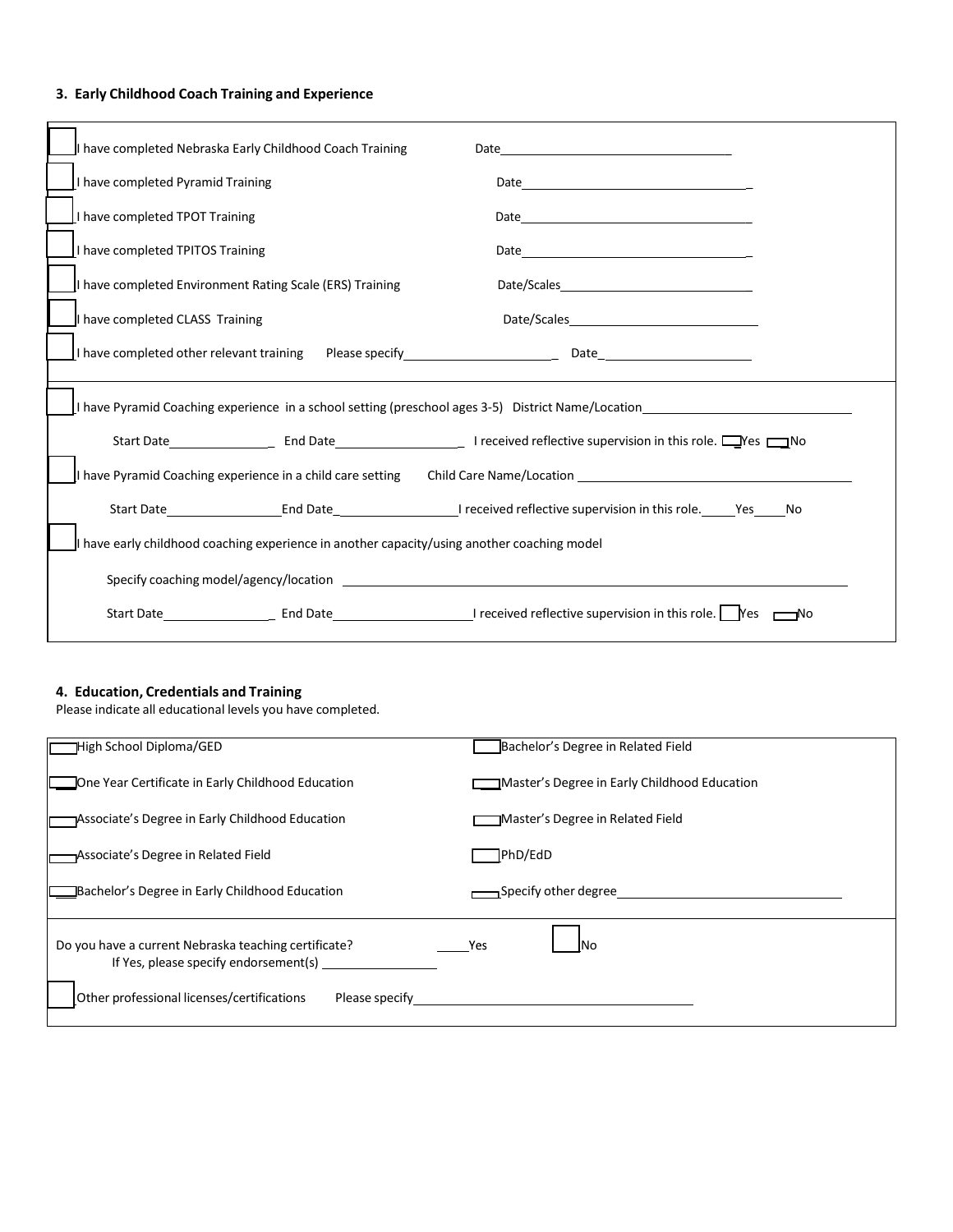#### **3. Early Childhood Coach Training and Experience**

| I have completed Nebraska Early Childhood Coach Training                                           | Date<br><u> 1989 - Andrea Barbara, politik e</u> ta eta esperantzia |  |  |  |
|----------------------------------------------------------------------------------------------------|---------------------------------------------------------------------|--|--|--|
| I have completed Pyramid Training                                                                  |                                                                     |  |  |  |
| I have completed TPOT Training                                                                     |                                                                     |  |  |  |
| I have completed TPITOS Training                                                                   |                                                                     |  |  |  |
| I have completed Environment Rating Scale (ERS) Training                                           |                                                                     |  |  |  |
| I have completed CLASS Training                                                                    |                                                                     |  |  |  |
|                                                                                                    |                                                                     |  |  |  |
| I have Pyramid Coaching experience in a school setting (preschool ages 3-5) District Name/Location |                                                                     |  |  |  |
|                                                                                                    |                                                                     |  |  |  |
| I have Pyramid Coaching experience in a child care setting                                         | Child Care Name/Location <b>Example 2018</b>                        |  |  |  |
|                                                                                                    |                                                                     |  |  |  |
| I have early childhood coaching experience in another capacity/using another coaching model        |                                                                     |  |  |  |
|                                                                                                    |                                                                     |  |  |  |
|                                                                                                    |                                                                     |  |  |  |

#### **4. Education, Credentials and Training**

Please indicate all educational levels you have completed.

| High School Diploma/GED                                                                       | Bachelor's Degree in Related Field           |
|-----------------------------------------------------------------------------------------------|----------------------------------------------|
| <b>Come Year Certificate in Early Childhood Education</b>                                     | Master's Degree in Early Childhood Education |
| Associate's Degree in Early Childhood Education                                               | Master's Degree in Related Field             |
| Associate's Degree in Related Field                                                           | PhD/EdD                                      |
| <b>Bachelor's Degree in Early Childhood Education</b>                                         | → Specify other degree                       |
| Do you have a current Nebraska teaching certificate?<br>If Yes, please specify endorsement(s) | Yes<br>INo.                                  |
| Other professional licenses/certifications<br>Please specify                                  |                                              |